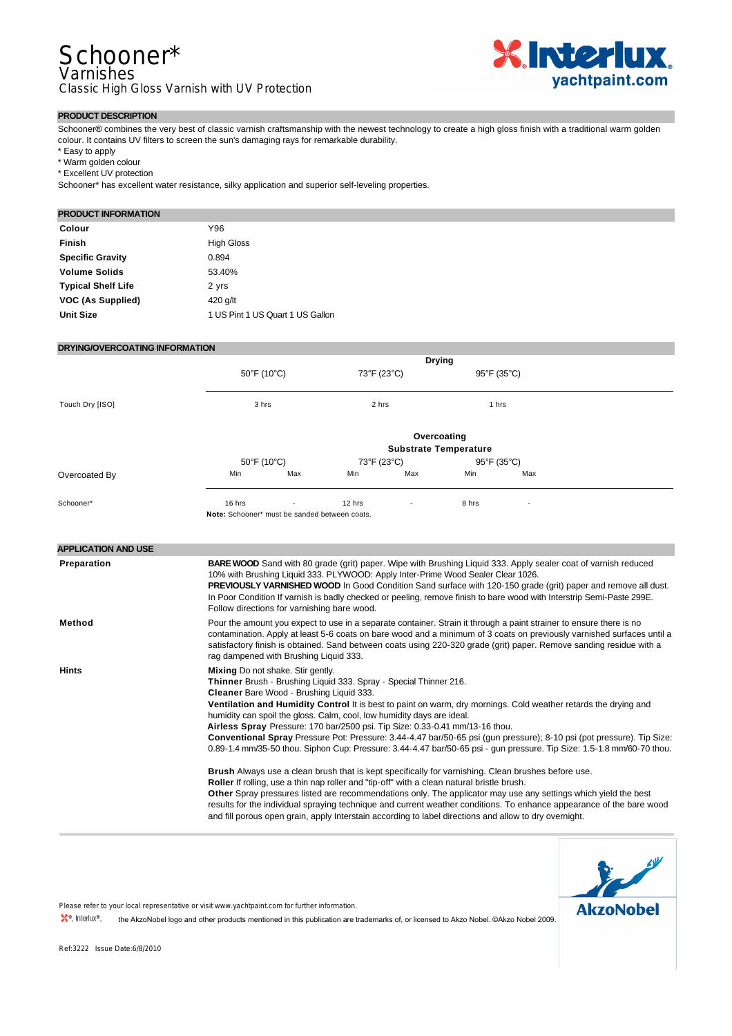

## **PRODUCT DESCRIPTION**

Schooner® combines the very best of classic varnish craftsmanship with the newest technology to create a high gloss finish with a traditional warm golden colour. It contains UV filters to screen the sun's damaging rays for remarkable durability.

- \* Easy to apply
- \* Warm golden colour
- \* Excellent UV protection

Schooner\* has excellent water resistance, silky application and superior self-leveling properties.

## **PRODUCT INFORMATION**

| Colour                    | Y96                              |
|---------------------------|----------------------------------|
| Finish                    | <b>High Gloss</b>                |
| <b>Specific Gravity</b>   | 0.894                            |
| <b>Volume Solids</b>      | 53.40%                           |
| <b>Typical Shelf Life</b> | 2 yrs                            |
| VOC (As Supplied)         | 420 g/lt                         |
| <b>Unit Size</b>          | 1 US Pint 1 US Quart 1 US Gallon |

## **DRYING/OVERCOATING INFORMATION**

|                            |                                                                               | <b>Drying</b>                                                                                                                                                                                                                                                                                                                                                                                                  |                                                                                                                                                                                                                             |       |                    |                                                                                                        |                                                                                                                                                                                                                                                                                                                                                                    |  |  |
|----------------------------|-------------------------------------------------------------------------------|----------------------------------------------------------------------------------------------------------------------------------------------------------------------------------------------------------------------------------------------------------------------------------------------------------------------------------------------------------------------------------------------------------------|-----------------------------------------------------------------------------------------------------------------------------------------------------------------------------------------------------------------------------|-------|--------------------|--------------------------------------------------------------------------------------------------------|--------------------------------------------------------------------------------------------------------------------------------------------------------------------------------------------------------------------------------------------------------------------------------------------------------------------------------------------------------------------|--|--|
|                            | 50°F (10°C)                                                                   |                                                                                                                                                                                                                                                                                                                                                                                                                | 73°F (23°C)                                                                                                                                                                                                                 |       | 95°F (35°C)        |                                                                                                        |                                                                                                                                                                                                                                                                                                                                                                    |  |  |
| Touch Dry [ISO]            |                                                                               | 3 hrs                                                                                                                                                                                                                                                                                                                                                                                                          |                                                                                                                                                                                                                             | 2 hrs |                    | 1 hrs                                                                                                  |                                                                                                                                                                                                                                                                                                                                                                    |  |  |
|                            |                                                                               | Overcoating                                                                                                                                                                                                                                                                                                                                                                                                    |                                                                                                                                                                                                                             |       |                    |                                                                                                        |                                                                                                                                                                                                                                                                                                                                                                    |  |  |
|                            |                                                                               |                                                                                                                                                                                                                                                                                                                                                                                                                | <b>Substrate Temperature</b><br>73°F (23°C)                                                                                                                                                                                 |       |                    |                                                                                                        |                                                                                                                                                                                                                                                                                                                                                                    |  |  |
| Overcoated By              | 50°F (10°C)<br>Min                                                            | Max                                                                                                                                                                                                                                                                                                                                                                                                            | Min                                                                                                                                                                                                                         | Max   | 95°F (35°C)<br>Min | Max                                                                                                    |                                                                                                                                                                                                                                                                                                                                                                    |  |  |
| Schooner*                  | 16 hrs<br>Note: Schooner* must be sanded between coats.                       |                                                                                                                                                                                                                                                                                                                                                                                                                | 12 hrs                                                                                                                                                                                                                      |       | 8 hrs              |                                                                                                        |                                                                                                                                                                                                                                                                                                                                                                    |  |  |
| <b>APPLICATION AND USE</b> |                                                                               |                                                                                                                                                                                                                                                                                                                                                                                                                |                                                                                                                                                                                                                             |       |                    |                                                                                                        |                                                                                                                                                                                                                                                                                                                                                                    |  |  |
| Preparation                | Follow directions for varnishing bare wood.                                   |                                                                                                                                                                                                                                                                                                                                                                                                                | 10% with Brushing Liquid 333. PLYWOOD: Apply Inter-Prime Wood Sealer Clear 1026.                                                                                                                                            |       |                    |                                                                                                        | <b>BARE WOOD</b> Sand with 80 grade (grit) paper. Wipe with Brushing Liquid 333. Apply sealer coat of varnish reduced<br>PREVIOUSLY VARNISHED WOOD In Good Condition Sand surface with 120-150 grade (grit) paper and remove all dust.<br>In Poor Condition If varnish is badly checked or peeling, remove finish to bare wood with Interstrip Semi-Paste 299E.    |  |  |
| Method                     |                                                                               | Pour the amount you expect to use in a separate container. Strain it through a paint strainer to ensure there is no<br>contamination. Apply at least 5-6 coats on bare wood and a minimum of 3 coats on previously varnished surfaces until a<br>satisfactory finish is obtained. Sand between coats using 220-320 grade (grit) paper. Remove sanding residue with a<br>rag dampened with Brushing Liquid 333. |                                                                                                                                                                                                                             |       |                    |                                                                                                        |                                                                                                                                                                                                                                                                                                                                                                    |  |  |
| <b>Hints</b>               | Mixing Do not shake. Stir gently.<br>Cleaner Bare Wood - Brushing Liquid 333. |                                                                                                                                                                                                                                                                                                                                                                                                                | Thinner Brush - Brushing Liquid 333. Spray - Special Thinner 216.<br>humidity can spoil the gloss. Calm, cool, low humidity days are ideal.<br>Airless Spray Pressure: 170 bar/2500 psi. Tip Size: 0.33-0.41 mm/13-16 thou. |       |                    | Brush Always use a clean brush that is kept specifically for varnishing. Clean brushes before use.     | Ventilation and Humidity Control It is best to paint on warm, dry mornings. Cold weather retards the drying and<br>Conventional Spray Pressure Pot: Pressure: 3.44-4.47 bar/50-65 psi (gun pressure); 8-10 psi (pot pressure). Tip Size:<br>0.89-1.4 mm/35-50 thou. Siphon Cup: Pressure: 3.44-4.47 bar/50-65 psi - gun pressure. Tip Size: 1.5-1.8 mm/60-70 thou. |  |  |
|                            |                                                                               |                                                                                                                                                                                                                                                                                                                                                                                                                | Roller If rolling, use a thin nap roller and "tip-off" with a clean natural bristle brush.                                                                                                                                  |       |                    | and fill porous open grain, apply Interstain according to label directions and allow to dry overnight. | Other Spray pressures listed are recommendations only. The applicator may use any settings which yield the best<br>results for the individual spraying technique and current weather conditions. To enhance appearance of the bare wood                                                                                                                            |  |  |



Please refer to your local representative or visit www.yachtpaint.com for further information.

the AkzoNobel logo and other products mentioned in this publication are trademarks of, or licensed to Akzo Nobel. ©Akzo Nobel 2009.